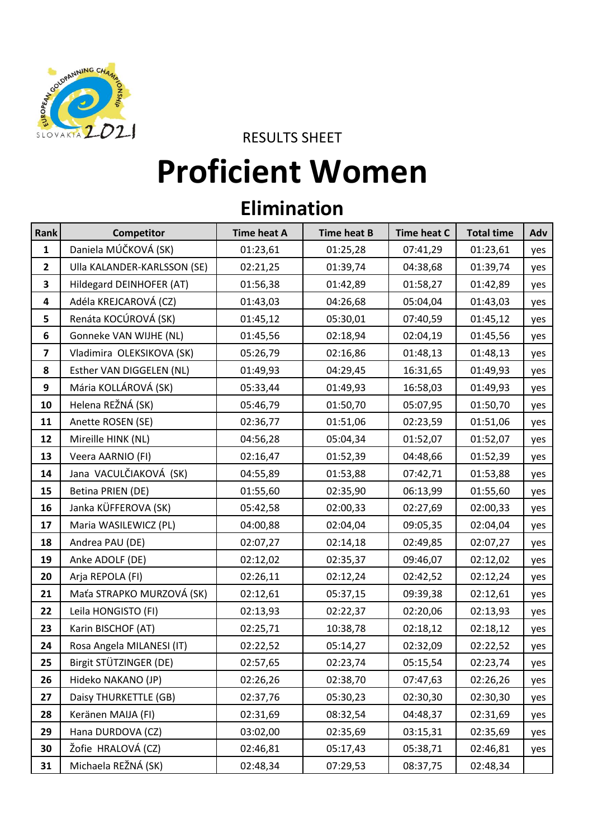

RESULTS SHEET

## **Proficient Women**

## **Elimination**

| Rank                    | Competitor                  | <b>Time heat A</b> | <b>Time heat B</b> | <b>Time heat C</b> | <b>Total time</b> | Adv |
|-------------------------|-----------------------------|--------------------|--------------------|--------------------|-------------------|-----|
| $\mathbf{1}$            | Daniela MÚČKOVÁ (SK)        | 01:23,61           | 01:25,28           | 07:41,29           | 01:23,61          | yes |
| $\overline{2}$          | Ulla KALANDER-KARLSSON (SE) | 02:21,25           | 01:39,74           | 04:38,68           | 01:39,74          | yes |
| 3                       | Hildegard DEINHOFER (AT)    | 01:56,38           | 01:42,89           | 01:58,27           | 01:42,89          | yes |
| $\overline{\mathbf{4}}$ | Adéla KREJCAROVÁ (CZ)       | 01:43,03           | 04:26,68           | 05:04,04           | 01:43,03          | yes |
| 5                       | Renáta KOCÚROVÁ (SK)        | 01:45,12           | 05:30,01           | 07:40,59           | 01:45,12          | yes |
| 6                       | Gonneke VAN WIJHE (NL)      | 01:45,56           | 02:18,94           | 02:04,19           | 01:45,56          | yes |
| $\overline{\mathbf{z}}$ | Vladimira OLEKSIKOVA (SK)   | 05:26,79           | 02:16,86           | 01:48,13           | 01:48,13          | yes |
| 8                       | Esther VAN DIGGELEN (NL)    | 01:49,93           | 04:29,45           | 16:31,65           | 01:49,93          | yes |
| 9                       | Mária KOLLÁROVÁ (SK)        | 05:33,44           | 01:49,93           | 16:58,03           | 01:49,93          | yes |
| 10                      | Helena REŽNÁ (SK)           | 05:46,79           | 01:50,70           | 05:07,95           | 01:50,70          | yes |
| 11                      | Anette ROSEN (SE)           | 02:36,77           | 01:51,06           | 02:23,59           | 01:51,06          | yes |
| 12                      | Mireille HINK (NL)          | 04:56,28           | 05:04,34           | 01:52,07           | 01:52,07          | yes |
| 13                      | Veera AARNIO (FI)           | 02:16,47           | 01:52,39           | 04:48,66           | 01:52,39          | yes |
| 14                      | Jana VACULČIAKOVÁ (SK)      | 04:55,89           | 01:53,88           | 07:42,71           | 01:53,88          | yes |
| 15                      | Betina PRIEN (DE)           | 01:55,60           | 02:35,90           | 06:13,99           | 01:55,60          | yes |
| 16                      | Janka KÜFFEROVA (SK)        | 05:42,58           | 02:00,33           | 02:27,69           | 02:00,33          | yes |
| 17                      | Maria WASILEWICZ (PL)       | 04:00,88           | 02:04,04           | 09:05,35           | 02:04,04          | yes |
| 18                      | Andrea PAU (DE)             | 02:07,27           | 02:14,18           | 02:49,85           | 02:07,27          | yes |
| 19                      | Anke ADOLF (DE)             | 02:12,02           | 02:35,37           | 09:46,07           | 02:12,02          | yes |
| 20                      | Arja REPOLA (FI)            | 02:26,11           | 02:12,24           | 02:42,52           | 02:12,24          | yes |
| 21                      | Maťa STRAPKO MURZOVÁ (SK)   | 02:12,61           | 05:37,15           | 09:39,38           | 02:12,61          | yes |
| 22                      | Leila HONGISTO (FI)         | 02:13,93           | 02:22,37           | 02:20,06           | 02:13,93          | yes |
| 23                      | Karin BISCHOF (AT)          | 02:25,71           | 10:38,78           | 02:18,12           | 02:18,12          | yes |
| 24                      | Rosa Angela MILANESI (IT)   | 02:22,52           | 05:14,27           | 02:32,09           | 02:22,52          | yes |
| 25                      | Birgit STÜTZINGER (DE)      | 02:57,65           | 02:23,74           | 05:15,54           | 02:23,74          | yes |
| 26                      | Hideko NAKANO (JP)          | 02:26,26           | 02:38,70           | 07:47,63           | 02:26,26          | yes |
| 27                      | Daisy THURKETTLE (GB)       | 02:37,76           | 05:30,23           | 02:30,30           | 02:30,30          | yes |
| 28                      | Keränen MAIJA (FI)          | 02:31,69           | 08:32,54           | 04:48,37           | 02:31,69          | yes |
| 29                      | Hana DURDOVA (CZ)           | 03:02,00           | 02:35,69           | 03:15,31           | 02:35,69          | yes |
| 30                      | Žofie HRALOVÁ (CZ)          | 02:46,81           | 05:17,43           | 05:38,71           | 02:46,81          | yes |
| 31                      | Michaela REŽNÁ (SK)         | 02:48,34           | 07:29,53           | 08:37,75           | 02:48,34          |     |